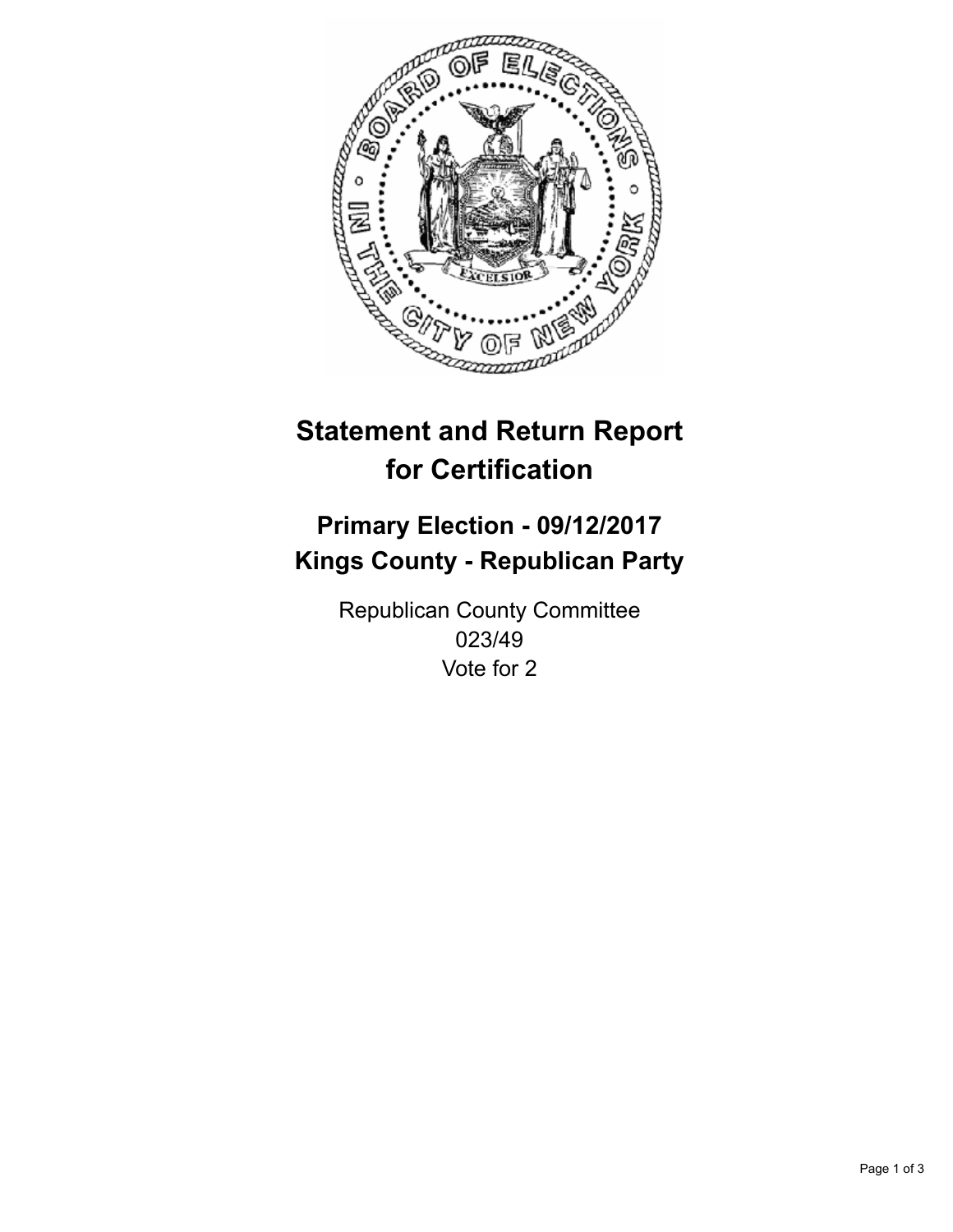

## **Statement and Return Report for Certification**

## **Primary Election - 09/12/2017 Kings County - Republican Party**

Republican County Committee 023/49 Vote for 2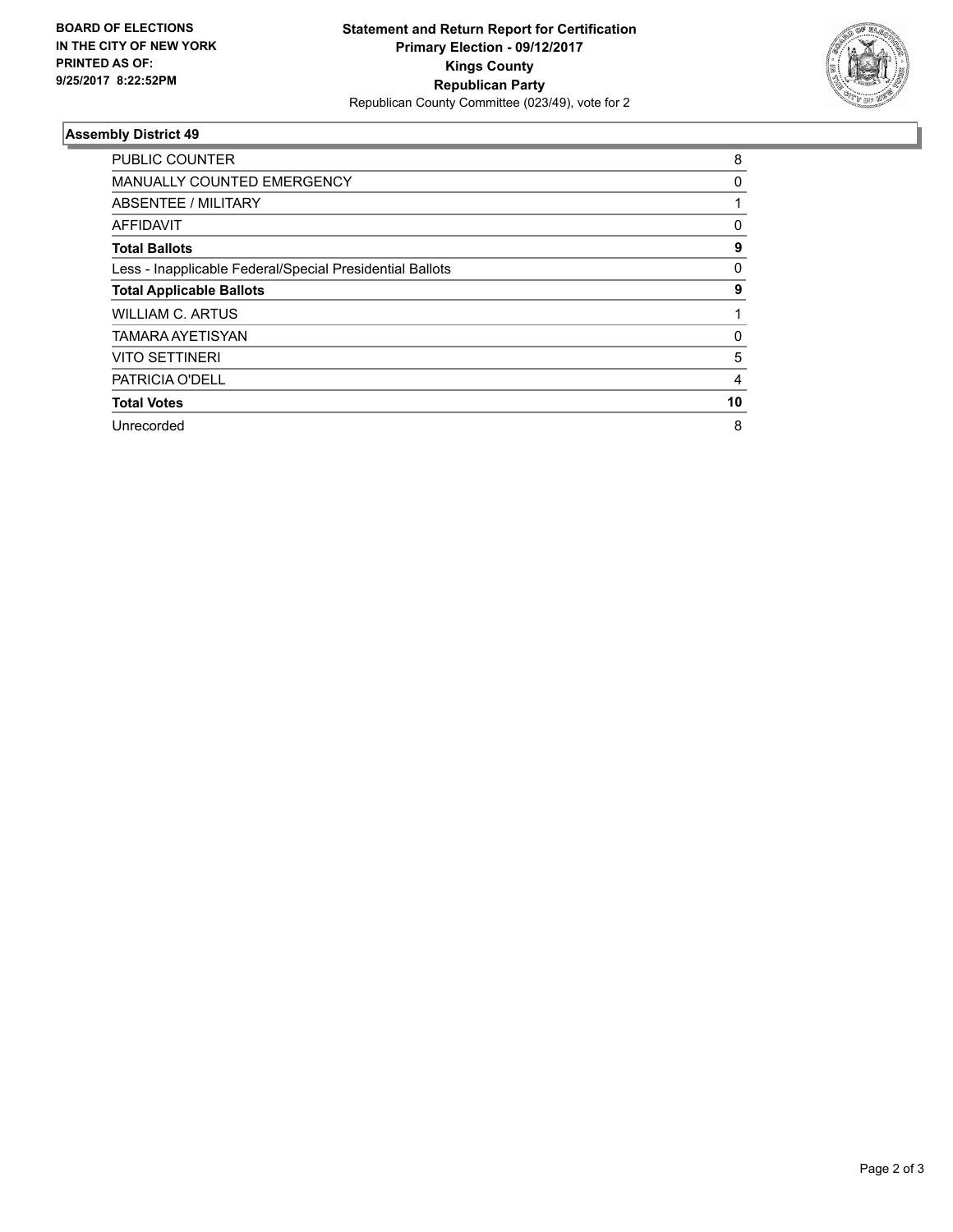

## **Assembly District 49**

| <b>PUBLIC COUNTER</b>                                    | 8  |
|----------------------------------------------------------|----|
| <b>MANUALLY COUNTED EMERGENCY</b>                        | 0  |
| ABSENTEE / MILITARY                                      |    |
| AFFIDAVIT                                                | 0  |
| <b>Total Ballots</b>                                     | 9  |
| Less - Inapplicable Federal/Special Presidential Ballots | 0  |
| <b>Total Applicable Ballots</b>                          | 9  |
| <b>WILLIAM C. ARTUS</b>                                  |    |
| <b>TAMARA AYETISYAN</b>                                  | 0  |
| <b>VITO SETTINERI</b>                                    | 5  |
| <b>PATRICIA O'DELL</b>                                   | 4  |
| <b>Total Votes</b>                                       | 10 |
| Unrecorded                                               | 8  |